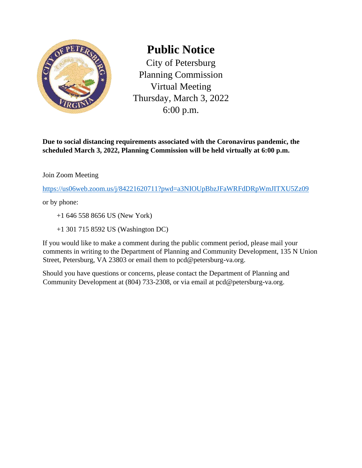

## **Public Notice**

City of Petersburg Planning Commission Virtual Meeting Thursday, March 3, 2022 6:00 p.m.

**Due to social distancing requirements associated with the Coronavirus pandemic, the scheduled March 3, 2022, Planning Commission will be held virtually at 6:00 p.m.** 

## Join Zoom Meeting

<https://us06web.zoom.us/j/84221620711?pwd=a3NIOUpBbzJFaWRFdDRpWmJITXU5Zz09>

or by phone:

- +1 646 558 8656 US (New York)
- +1 301 715 8592 US (Washington DC)

If you would like to make a comment during the public comment period, please mail your comments in writing to the Department of Planning and Community Development, 135 N Union Street, Petersburg, VA 23803 or email them to pcd@petersburg-va.org.

Should you have questions or concerns, please contact the Department of Planning and Community Development at (804) 733-2308, or via email at pcd@petersburg-va.org.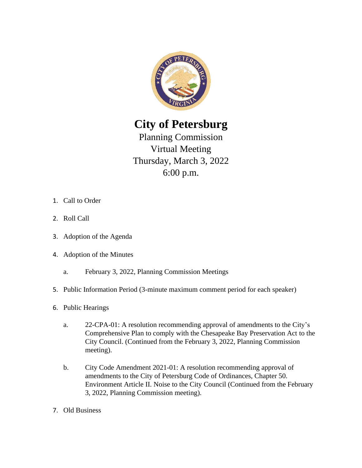

**City of Petersburg** 

Planning Commission Virtual Meeting Thursday, March 3, 2022 6:00 p.m.

- 1. Call to Order
- 2. Roll Call
- 3. Adoption of the Agenda
- 4. Adoption of the Minutes
	- a. February 3, 2022, Planning Commission Meetings
- 5. Public Information Period (3-minute maximum comment period for each speaker)
- 6. Public Hearings
	- a. 22-CPA-01: A resolution recommending approval of amendments to the City's Comprehensive Plan to comply with the Chesapeake Bay Preservation Act to the City Council. (Continued from the February 3, 2022, Planning Commission meeting).
	- b. City Code Amendment 2021-01: A resolution recommending approval of amendments to the City of Petersburg Code of Ordinances, Chapter 50. Environment Article II. Noise to the City Council (Continued from the February 3, 2022, Planning Commission meeting).
- 7. Old Business